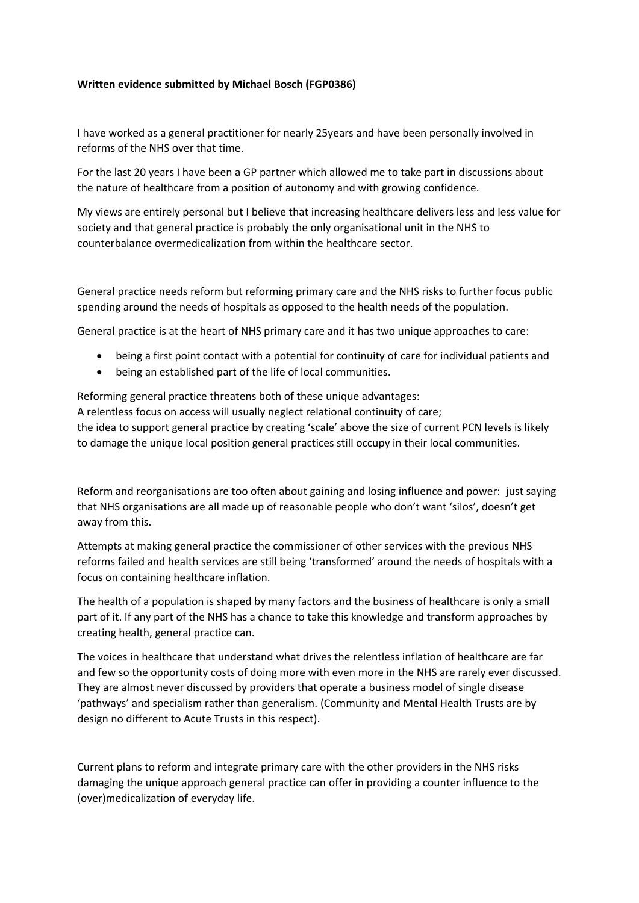## **Written evidence submitted by Michael Bosch (FGP0386)**

I have worked as a general practitioner for nearly 25years and have been personally involved in reforms of the NHS over that time.

For the last 20 years I have been a GP partner which allowed me to take part in discussions about the nature of healthcare from a position of autonomy and with growing confidence.

My views are entirely personal but I believe that increasing healthcare delivers less and less value for society and that general practice is probably the only organisational unit in the NHS to counterbalance overmedicalization from within the healthcare sector.

General practice needs reform but reforming primary care and the NHS risks to further focus public spending around the needs of hospitals as opposed to the health needs of the population.

General practice is at the heart of NHS primary care and it has two unique approaches to care:

- being a first point contact with a potential for continuity of care for individual patients and
- being an established part of the life of local communities.

Reforming general practice threatens both of these unique advantages:

A relentless focus on access will usually neglect relational continuity of care; the idea to support general practice by creating 'scale' above the size of current PCN levels is likely to damage the unique local position general practices still occupy in their local communities.

Reform and reorganisations are too often about gaining and losing influence and power: just saying that NHS organisations are all made up of reasonable people who don't want 'silos', doesn't get away from this.

Attempts at making general practice the commissioner of other services with the previous NHS reforms failed and health services are still being 'transformed' around the needs of hospitals with a focus on containing healthcare inflation.

The health of a population is shaped by many factors and the business of healthcare is only a small part of it. If any part of the NHS has a chance to take this knowledge and transform approaches by creating health, general practice can.

The voices in healthcare that understand what drives the relentless inflation of healthcare are far and few so the opportunity costs of doing more with even more in the NHS are rarely ever discussed. They are almost never discussed by providers that operate a business model of single disease 'pathways' and specialism rather than generalism. (Community and Mental Health Trusts are by design no different to Acute Trusts in this respect).

Current plans to reform and integrate primary care with the other providers in the NHS risks damaging the unique approach general practice can offer in providing a counter influence to the (over)medicalization of everyday life.